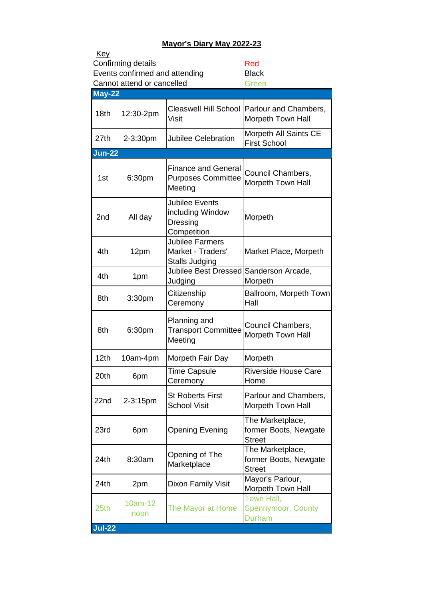## **Mayor's Diary May 2022-23**

| Key<br>Confirming details<br>Red |                                                              |                                                                      |                                                            |  |  |  |
|----------------------------------|--------------------------------------------------------------|----------------------------------------------------------------------|------------------------------------------------------------|--|--|--|
|                                  | Events confirmed and attending<br>Cannot attend or cancelled | <b>Black</b><br>Green                                                |                                                            |  |  |  |
| <b>May-22</b>                    |                                                              |                                                                      |                                                            |  |  |  |
| 18 <sub>th</sub>                 | 12:30-2pm                                                    | <b>Cleaswell Hill School</b><br>Visit                                | Parlour and Chambers,<br>Morpeth Town Hall                 |  |  |  |
| 27th                             | 2-3:30pm                                                     | <b>Jubilee Celebration</b>                                           | Morpeth All Saints CE<br><b>First School</b>               |  |  |  |
| Jun-22                           |                                                              |                                                                      |                                                            |  |  |  |
| 1st                              | 6:30pm                                                       | <b>Finance and General</b><br><b>Purposes Committee</b><br>Meeting   | Council Chambers,<br><b>Morpeth Town Hall</b>              |  |  |  |
| 2 <sub>nd</sub>                  | All day                                                      | <b>Jubilee Events</b><br>including Window<br>Dressing<br>Competition | Morpeth                                                    |  |  |  |
| 4th                              | 12pm                                                         | <b>Jubilee Farmers</b><br>Market - Traders'<br>Stalls Judging        | Market Place, Morpeth                                      |  |  |  |
| 4th                              | 1pm                                                          | <b>Jubilee Best Dressed</b><br>Judging                               | Sanderson Arcade,<br>Morpeth                               |  |  |  |
| 8th                              | 3:30pm                                                       | Citizenship<br>Ceremony                                              | Ballroom, Morpeth Town<br>Hall                             |  |  |  |
| 8th                              | 6:30pm                                                       | Planning and<br><b>Transport Committee</b><br>Meeting                | Council Chambers,<br>Morpeth Town Hall                     |  |  |  |
| 12 <sub>th</sub>                 | 10am-4pm                                                     | Morpeth Fair Day                                                     | Morpeth                                                    |  |  |  |
| 20th                             | 6pm                                                          | Time Capsule<br>Ceremony                                             | <b>Riverside House Care</b><br>Home                        |  |  |  |
| 22nd                             | 2-3:15pm                                                     | <b>St Roberts First</b><br><b>School Visit</b>                       | Parlour and Chambers,<br>Morpeth Town Hall                 |  |  |  |
| 23rd                             | 6pm                                                          | <b>Opening Evening</b>                                               | The Marketplace,<br>former Boots, Newgate<br><b>Street</b> |  |  |  |
| 24th                             | 8:30am                                                       | Opening of The<br>Marketplace                                        | The Marketplace,<br>former Boots, Newgate<br><b>Street</b> |  |  |  |
| 24th                             | 2pm                                                          | Dixon Family Visit                                                   | Mayor's Parlour,<br>Morpeth Town Hall                      |  |  |  |
| 25th                             | 10am-12<br>noon                                              | The Mayor at Home                                                    | Town Hall,<br>Spennymoor, County<br><b>Durham</b>          |  |  |  |
| <b>Jul-22</b>                    |                                                              |                                                                      |                                                            |  |  |  |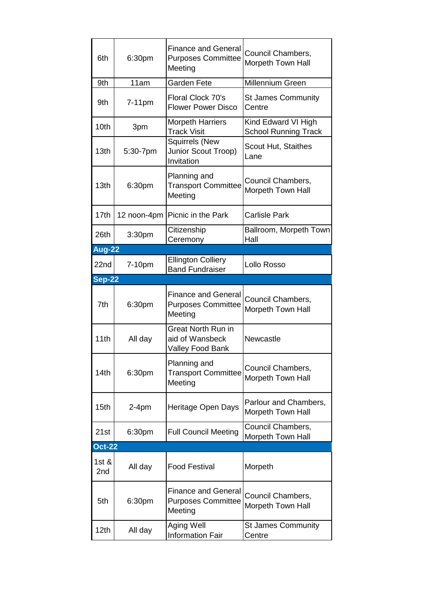| 6th              | 6:30pm             | <b>Finance and General</b><br><b>Purposes Committee</b><br>Meeting | Council Chambers,<br>Morpeth Town Hall             |
|------------------|--------------------|--------------------------------------------------------------------|----------------------------------------------------|
| 9th              | 11am               | <b>Garden Fete</b>                                                 | Millennium Green                                   |
| 9th              | $7-11$ pm          | Floral Clock 70's<br><b>Flower Power Disco</b>                     | <b>St James Community</b><br>Centre                |
| 10th             | 3pm                | <b>Morpeth Harriers</b><br><b>Track Visit</b>                      | Kind Edward VI High<br><b>School Running Track</b> |
| 13 <sub>th</sub> | 5:30-7pm           | <b>Squirrels (New</b><br>Junior Scout Troop)<br>Invitation         | <b>Scout Hut, Staithes</b><br>Lane                 |
| 13 <sub>th</sub> | 6:30pm             | Planning and<br><b>Transport Committee</b><br>Meeting              | Council Chambers,<br>Morpeth Town Hall             |
| 17th             | 12 noon-4pm        | Picnic in the Park                                                 | <b>Carlisle Park</b>                               |
| 26th             | 3:30 <sub>pm</sub> | Citizenship<br>Ceremony                                            | Ballroom, Morpeth Town<br>Hall                     |
| <b>Aug-22</b>    |                    |                                                                    |                                                    |
| 22nd             | 7-10pm             | <b>Ellington Colliery</b><br><b>Band Fundraiser</b>                | Lollo Rosso                                        |
| <b>Sep-22</b>    |                    |                                                                    |                                                    |
| 7th              | 6:30pm             | <b>Finance and General</b><br><b>Purposes Committee</b><br>Meeting | Council Chambers,<br>Morpeth Town Hall             |
| 11th             | All day            | <b>Great North Run in</b><br>aid of Wansbeck<br>Valley Food Bank   | Newcastle                                          |
| 14th             | 6:30pm             | Planning and<br><b>Transport Committee</b><br>Meeting              | Council Chambers,<br>Morpeth Town Hall             |
| 15th             | $2-4pm$            | Heritage Open Days                                                 | Parlour and Chambers,<br>Morpeth Town Hall         |
| 21st             | 6:30pm             | <b>Full Council Meeting</b>                                        | Council Chambers,<br>Morpeth Town Hall             |
| <b>Oct-22</b>    |                    |                                                                    |                                                    |
| 1st $\&$<br>2nd  | All day            | <b>Food Festival</b>                                               | Morpeth                                            |
|                  |                    | <b>Finance and General</b>                                         | Council Chambers,                                  |
| 5th              | 6:30pm             | <b>Purposes Committee</b><br>Meeting                               | Morpeth Town Hall                                  |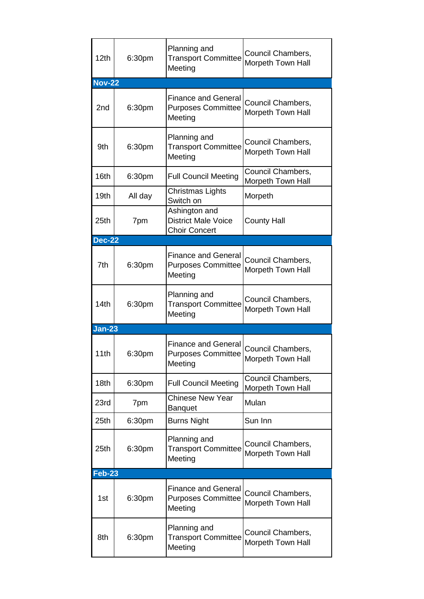| 12th             | 6:30pm  | Planning and<br><b>Transport Committee</b><br>Meeting               | Council Chambers,<br>Morpeth Town Hall |
|------------------|---------|---------------------------------------------------------------------|----------------------------------------|
| <b>Nov-22</b>    |         |                                                                     |                                        |
| 2nd              | 6:30pm  | <b>Finance and General</b><br><b>Purposes Committee</b><br>Meeting  | Council Chambers,<br>Morpeth Town Hall |
| 9th              | 6:30pm  | Planning and<br><b>Transport Committee</b><br>Meeting               | Council Chambers,<br>Morpeth Town Hall |
| 16th             | 6:30pm  | <b>Full Council Meeting</b>                                         | Council Chambers,<br>Morpeth Town Hall |
| 19 <sub>th</sub> | All day | Christmas Lights<br>Switch on                                       | Morpeth                                |
| 25 <sub>th</sub> | 7pm     | Ashington and<br><b>District Male Voice</b><br><b>Choir Concert</b> | <b>County Hall</b>                     |
| <b>Dec-22</b>    |         |                                                                     |                                        |
| 7th              | 6:30pm  | <b>Finance and General</b><br><b>Purposes Committee</b><br>Meeting  | Council Chambers,<br>Morpeth Town Hall |
| 14th             | 6:30pm  | Planning and<br><b>Transport Committee</b><br>Meeting               | Council Chambers,<br>Morpeth Town Hall |
| <u>Jan-23</u>    |         |                                                                     |                                        |
| 11th             | 6:30pm  | <b>Finance and General</b><br><b>Purposes Committee</b><br>Meeting  | Council Chambers<br>Morpeth Town Hall  |
| 18 <sub>th</sub> | 6:30pm  | <b>Full Council Meeting</b>                                         | Council Chambers,<br>Morpeth Town Hall |
| 23rd             |         | <b>Chinese New Year</b>                                             |                                        |
|                  | 7pm     | <b>Banquet</b>                                                      | Mulan                                  |
| 25th             | 6:30pm  | <b>Burns Night</b>                                                  | Sun Inn                                |
| 25 <sub>th</sub> | 6:30pm  | Planning and<br><b>Transport Committee</b><br>Meeting               | Council Chambers,<br>Morpeth Town Hall |
| <b>Feb-23</b>    |         |                                                                     |                                        |
| 1st              | 6:30pm  | <b>Finance and General</b><br><b>Purposes Committee</b><br>Meeting  | Council Chambers,<br>Morpeth Town Hall |